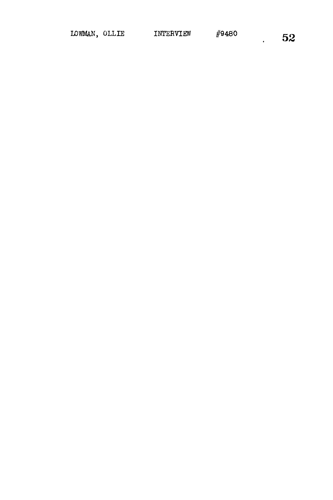l.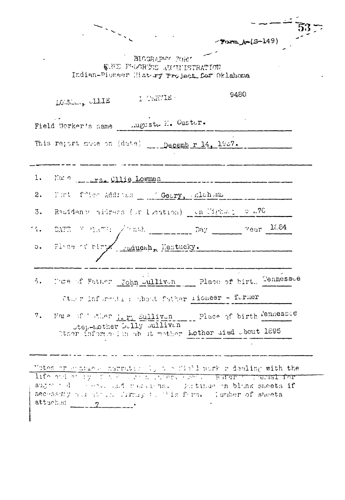|    | Indian-Pioneer Hatery Project for Oklahoma                                                                                                   |
|----|----------------------------------------------------------------------------------------------------------------------------------------------|
|    | 9480<br>I TERVIE :<br>LOWLING CLLIE                                                                                                          |
|    | Field Worker's name .ugust i. Custer.                                                                                                        |
|    | This report made on (date) __ Decemb r 14, 1957.                                                                                             |
|    | 1. Nate  ra. Cllie Lowman                                                                                                                    |
|    | 2. Port folge Address of Geary, Alahoma                                                                                                      |
| 3. | Residence aldress (or Loation) an Nighay $\circ$ 270                                                                                         |
|    | 74. DATE FRANK: The Main Day Wear 1884                                                                                                       |
|    |                                                                                                                                              |
|    | 5. Mine of Father John Mulliven Place of birt. Tennessee                                                                                     |
|    | Other information about father rioneer - furner                                                                                              |
|    | 7. Mars of ther is miliving place of birth lennessed<br>Step-mother Dully sullivan<br>Other informed ion about mether Lother aied ubout 1895 |

Totes or evanies, narratively to object work redealing with the life and at by the state of the construction of Referent practical for sugared a series and researches. Subtimes an blank sheets if necessity and about limits to this form. Tumber of sheets 

BIOGRAPHY FORM **ERE PROGRESS AETITSTRATION** 

 $-$ Porm  $A = (S-149)$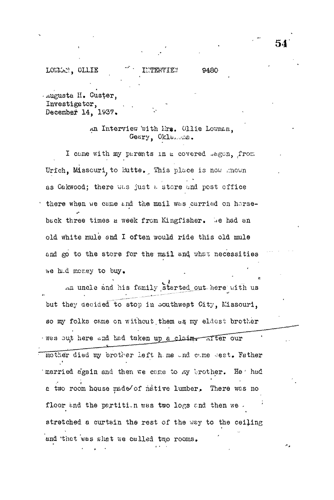## **INTERVIET** LOWARN, OLLIE 9480

Augusta H. Custer, Investigator, December 14, 1937.

## An Interview with Mrs. Ollie Lowman, Geary, Oklandma.

I came with my parents in a covered wagen, from Urich, Missouri, to Butte. This place is now mown as Cakwood; there was just a store and post office there when we came and the mail was carried on horseback three times a week from Kingfisher. We had an old white mule and I often would ride this old mule and go to the store for the mail and what necessities we had money to buy.

an uncle and his family started out here with us but they decided to stop in southwest City, Missouri, so my folks came on without them as my eldest brother was out here and had taken up a claim. After our mother died my brother left home and came sest. Father married again and then we came to my brother.  $He$   $'$  had a two room house made of native lumber. There was no floor and the partition was two logs and then we. stretched a curtain the rest of the way to the ceiling and that was what we called two rooms.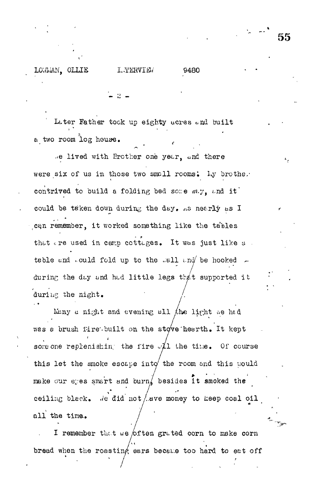LOWMAN, OLLIE L.TERVIEW 9480

Later Father took up eighty ucres and built a two room log house.

.e lived with Brother one year, and there were six of us in those two small rooms: Ly brother contrived to build a folding bed some way, and it could be teken down during the day. As nearly as I cen remember, it worked something like the tables that are used in camp cottages. It was just like a table and . ould fold up to the ..all and be hooked  $\sim$ during the day and had little legs that supported it during the night.

 $k$ ny a night and evening all  $\ell$ he light we had wes a brush firetbuilt on the stove hearth. It kept some one replenishing the fire  $\mathcal{A}$ 1 the time. Of course this let the smoke escape into the room and this would make our ejes smart and burn, besides it smoked the make our existence in the smart and burn/ besides in the smart and burn/ besides in the smart  $\mathbf{r}$ ceiling black. We did not/wave money to keep coal oil. all the time.

I remember that we often grated corn to make corn bread when the roasting ears beceme too hard to eat off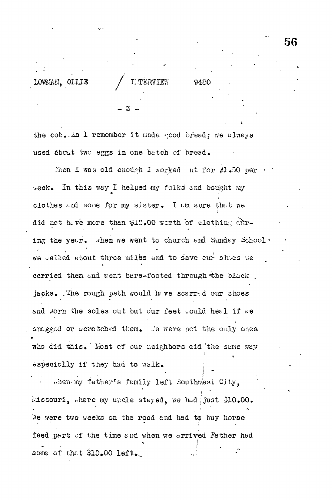LOWMAN, OLLIE

the cob. As I remember it made good bread; we always used about two eggs in one batch of bread.

IMTERVIEW

9480

then I was old enough I worked ut for \$1.50 per week. In this way I helped my folks and bought my clothes and some for my sister. I am sure that we did not have more than \$12.00 worth of clothing diring the year. Then we went to church and Sunday School. we walked about three miles and to save our shoes we carried them and went bare-footed through the black, jacks. The rough path would have scarred our shoes and worn the soles out but our feet would heal if we snagged or scratched them. Je were not the only ones who did this. Most of our neighbors did the same way especially if they had to walk.

when my father's family left Southwest City, Missouri, where my uncle stayed, we had just  $310.00$ . We were two weeks on the road and had to buy horse feed part of the time and when we arrived Father had some of that \$10.00 left.

56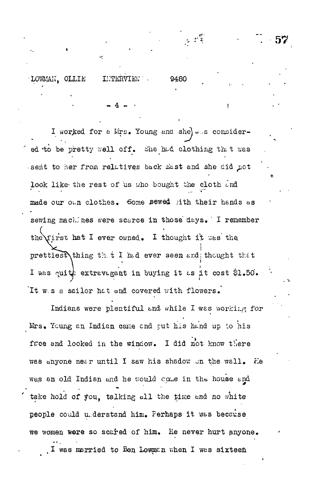LOWMAN. OLLIE

I worked for a Mrs. Young and she was considered to be pretty well off. She had clothing that was sent to her from relatives back East and she did not look like the rest of us who bought the cloth end made our own clothes. Some sewed sith their hands as sewing machines were scarce in those days. I remember the first hat I ever owned. I thought it was the prettiest thing that I had ever seen and thought that I was quite extravagant in buying it as it cost \$1.50. It wis a sailor hat and covered with flowers.

Indians were plentiful and while I was working for Mrs. Young an Indian came and put his hand up to his face and looked in the window. I did not know there was anyone near until I saw his shadow on the wall. He was an old Indian and he would come in the house and take hold of you, talking all the time and no white people could understand him. Perhaps it was because we women were so scared of him. He never hurt anyone. . I was married to Ben Lowman when I was sixteen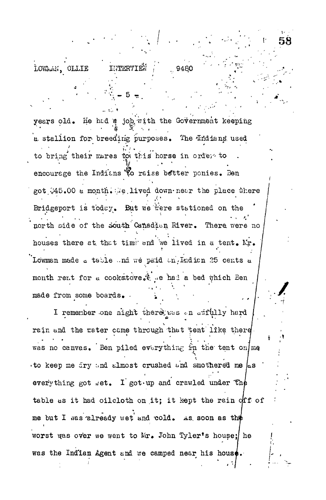LOWAN, OLLIE **INTERVIE?** 

years old. He had a job with the Government keeping a stallion for breeding purposes. The Indians used to bring their mares to this horse in order to encourage the Indians to raise better ponies. Ben got 245.00 a month. We lived down near the place where Bridgeport is today. But we were stationed on the north side of the south Canadian River. There were no houses there at that time and we lived in a tent. Mr. Lowman made a table and we paid on Indian 25 cents a month rent for a cookstove.\* we had a bed which Ben made from some boards.

I remember one night there was on atfully hard rain and the water came through that tent like there was no canvas. Ben piled everything in the tent on me to keep me ary and almost crushed and smothered me as every thing got wet. I got up and crawled under  $Thé$ table as it had oilcloth on it; it kept the rain off of me but I was already wet and cold. As soon as the worst was over we went to Mr. John Tyler's house; he was the Indian Agent and we camped near his house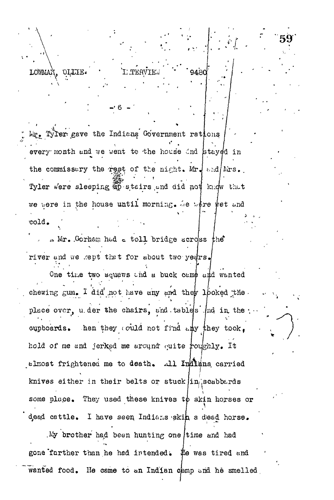Mr. Tyler gave the Indians Government rations every month and we went to the house and stayed in the commissary the rest of the night. Mr. and Mrs. Tyler were sleeping ap stairs and did not kidw that we were in the house until morning. We were vet and cold.

I TERVIE.

LOWMAN,

OLLIE.

. .. Mr. Gorham had a toll bridge across the river and we kept that for about two years.

One time two squaws and a buck came and wanted chewing gum. I did not have any and they looked the place over, u der the chairs, and tables . nd in the oupboards. hen they could not find any they took. hold of me and jerked me around quite rowghly. It almost frightened me to death. All Indians carried knives either in their belts or stuck in scabbards some place. They used these knives to skin horses or dead cattle. I have seen Indians skip a dead horse.

Ny brother had been hunting one time and had gone farther than he had intended. #e was tired and wanted food. He came to an Indian camp and he smelled